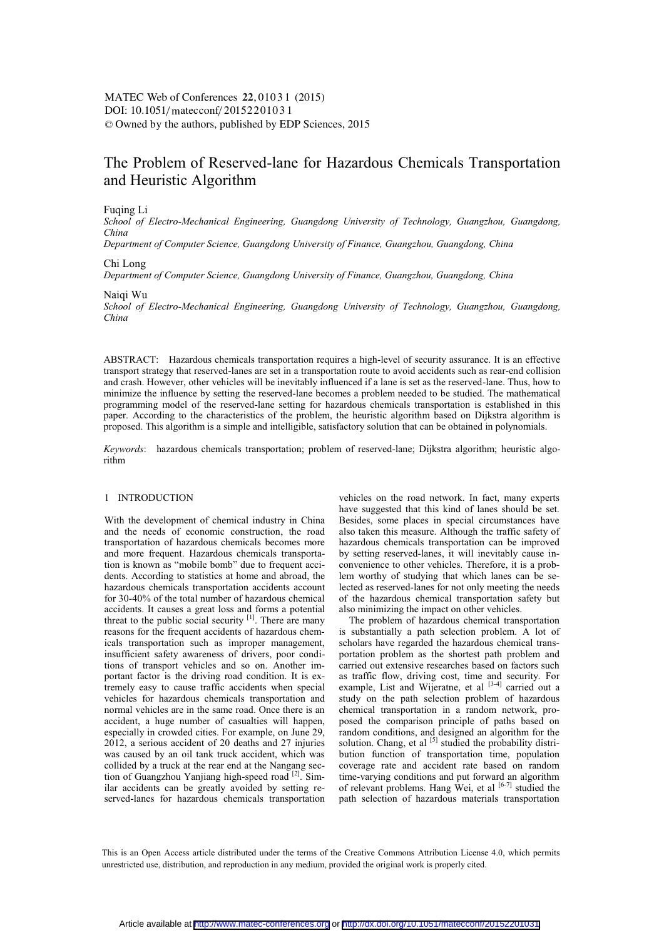# The Problem of Reserved-lane for Hazardous Chemicals Transportation and Heuristic Algorithm

#### Fuqing Li

*School of Electro-Mechanical Engineering, Guangdong University of Technology, Guangzhou, Guangdong, China* 

*Department of Computer Science, Guangdong University of Finance, Guangzhou, Guangdong, China* 

# Chi Long

*Department of Computer Science, Guangdong University of Finance, Guangzhou, Guangdong, China* 

#### Naiqi Wu

*School of Electro-Mechanical Engineering, Guangdong University of Technology, Guangzhou, Guangdong, China* 

ABSTRACT: Hazardous chemicals transportation requires a high-level of security assurance. It is an effective transport strategy that reserved-lanes are set in a transportation route to avoid accidents such as rear-end collision and crash. However, other vehicles will be inevitably influenced if a lane is set as the reserved-lane. Thus, how to minimize the influence by setting the reserved-lane becomes a problem needed to be studied. The mathematical programming model of the reserved-lane setting for hazardous chemicals transportation is established in this paper. According to the characteristics of the problem, the heuristic algorithm based on Dijkstra algorithm is proposed. This algorithm is a simple and intelligible, satisfactory solution that can be obtained in polynomials.

*Keywords*: hazardous chemicals transportation; problem of reserved-lane; Dijkstra algorithm; heuristic algorithm

#### 1 INTRODUCTION

With the development of chemical industry in China and the needs of economic construction, the road transportation of hazardous chemicals becomes more and more frequent. Hazardous chemicals transportation is known as "mobile bomb" due to frequent accidents. According to statistics at home and abroad, the hazardous chemicals transportation accidents account for 30-40% of the total number of hazardous chemical accidents. It causes a great loss and forms a potential threat to the public social security [1]. There are many reasons for the frequent accidents of hazardous chemicals transportation such as improper management, insufficient safety awareness of drivers, poor conditions of transport vehicles and so on. Another important factor is the driving road condition. It is extremely easy to cause traffic accidents when special vehicles for hazardous chemicals transportation and normal vehicles are in the same road. Once there is an accident, a huge number of casualties will happen, especially in crowded cities. For example, on June 29, 2012, a serious accident of 20 deaths and 27 injuries was caused by an oil tank truck accident, which was collided by a truck at the rear end at the Nangang section of Guangzhou Yanjiang high-speed road <sup>[2]</sup>. Similar accidents can be greatly avoided by setting reserved-lanes for hazardous chemicals transportation vehicles on the road network. In fact, many experts have suggested that this kind of lanes should be set. Besides, some places in special circumstances have also taken this measure. Although the traffic safety of hazardous chemicals transportation can be improved by setting reserved-lanes, it will inevitably cause inconvenience to other vehicles. Therefore, it is a problem worthy of studying that which lanes can be selected as reserved-lanes for not only meeting the needs of the hazardous chemical transportation safety but also minimizing the impact on other vehicles.

The problem of hazardous chemical transportation is substantially a path selection problem. A lot of scholars have regarded the hazardous chemical transportation problem as the shortest path problem and carried out extensive researches based on factors such as traffic flow, driving cost, time and security. For example, List and Wijeratne, et al  $[3-4]$  carried out a study on the path selection problem of hazardous chemical transportation in a random network, proposed the comparison principle of paths based on random conditions, and designed an algorithm for the solution. Chang, et al [5] studied the probability distribution function of transportation time, population coverage rate and accident rate based on random time-varying conditions and put forward an algorithm of relevant problems. Hang Wei, et al  $[6-7]$  studied the path selection of hazardous materials transportation

This is an Open Access article distributed under the terms of the Creative Commons Attribution License 4.0, which permits unrestricted use, distribution, and reproduction in any medium, provided the original work is properly cited.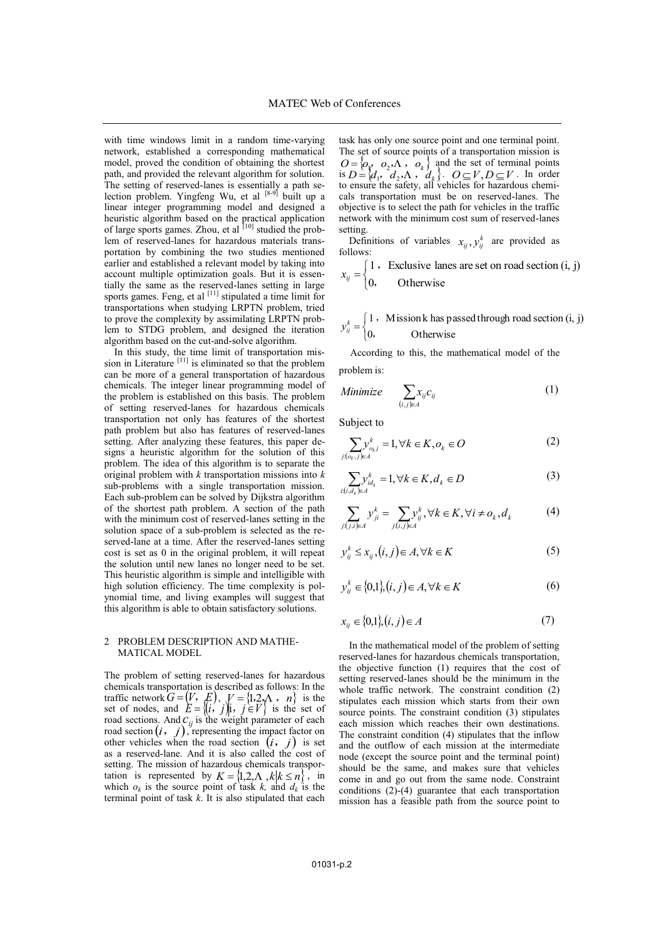with time windows limit in a random time-varying network, established a corresponding mathematical model, proved the condition of obtaining the shortest path, and provided the relevant algorithm for solution. The setting of reserved-lanes is essentially a path selection problem. Yingfeng Wu, et al  $[8-9]$  built up a linear integer programming model and designed a heuristic algorithm based on the practical application of large sports games. Zhou, et al  $[10]$  studied the problem of reserved-lanes for hazardous materials transportation by combining the two studies mentioned earlier and established a relevant model by taking into account multiple optimization goals. But it is essentially the same as the reserved-lanes setting in large sports games. Feng, et al  $[11]$  stipulated a time limit for transportations when studying LRPTN problem, tried to prove the complexity by assimilating LRPTN problem to STDG problem, and designed the iteration algorithm based on the cut-and-solve algorithm.

In this study, the time limit of transportation mission in Literature [11] is eliminated so that the problem can be more of a general transportation of hazardous chemicals. The integer linear programming model of the problem is established on this basis. The problem of setting reserved-lanes for hazardous chemicals transportation not only has features of the shortest path problem but also has features of reserved-lanes setting. After analyzing these features, this paper designs a heuristic algorithm for the solution of this problem. The idea of this algorithm is to separate the original problem with *k* transportation missions into *k* sub-problems with a single transportation mission. Each sub-problem can be solved by Dijkstra algorithm of the shortest path problem. A section of the path with the minimum cost of reserved-lanes setting in the solution space of a sub-problem is selected as the reserved-lane at a time. After the reserved-lanes setting cost is set as 0 in the original problem, it will repeat the solution until new lanes no longer need to be set. This heuristic algorithm is simple and intelligible with high solution efficiency. The time complexity is polynomial time, and living examples will suggest that this algorithm is able to obtain satisfactory solutions.

#### 2 PROBLEM DESCRIPTION AND MATHE-MATICAL MODEL

The problem of setting reserved-lanes for hazardous chemicals transportation is described as follows: In the traffic network  $G = (V, E)$ ,  $V = \{1, 2, \Lambda, n\}$  is the set of nodes, and  $E = \{(i, j)\}\)$ **j**,  $j \in V$  is the set of road sections. And  $C_{ij}$  is the weight parameter of each road section  $(i, j)$ , representing the impact factor on from section  $(i, j)$ , representing the impact factor of other vehicles when the road section  $(i, j)$  is set as a reserved-lane. And it is also called the cost of setting. The mission of hazardous chemicals transportation is represented by  $K = \{1, 2, \Lambda, k | k \le n \}$ , in which  $o_k$  is the source point of task  $k$ , and  $d_k$  is the terminal point of task *k*. It is also stipulated that each

task has only one source point and one terminal point. The set of source points of a transportation mission is  $O = \{O_{\mathbf{r}} \mid O_2 \cdot \Lambda \}, O_k \}$  and the set of terminal points is  $D = \{d_1, d_2, \Lambda, d_k\}$ .  $O \subseteq V, D \subseteq V$ . In order to ensure the safety, all vehicles for hazardous chemicals transportation must be on reserved-lanes. The objective is to select the path for vehicles in the traffic network with the minimum cost sum of reserved-lanes setting.

Definitions of variables  $x_{ij}$ ,  $y_{ij}^k$  are provided as follows:

**Otherwise** Exclusive lanes are set on road section (i, j) 0  $\left\{ \begin{aligned} &1\text{ , }\\ &0, \end{aligned} \right.$  $x_{ij} = \begin{cases} 1 & i \neq j \end{cases}$ 

$$
y_{ij}^{k} = \begin{cases} 1, & \text{Mission k has passed through road section (i, j)} \\ 0, & \text{Otherwise} \end{cases}
$$

According to this, the mathematical model of the problem is:

Minimize 
$$
\sum_{(i,j)\in A} x_{ij} c_{ij}
$$
 (1)

Subject to

$$
\sum_{j:(o_k,j)\in A} y_{o_k,j}^k = 1, \forall k \in K, o_k \in O \tag{2}
$$

$$
\sum_{i:(i,d_k)\in A} y_{id_k}^k = 1, \forall k \in K, d_k \in D
$$
\n(3)

$$
\sum_{j:(j,i)\in A} y_{ji}^k = \sum_{j:(i,j)\in A} y_{ij}^k, \forall k \in K, \forall i \neq o_k, d_k
$$
 (4)

$$
y_{ij}^k \le x_{ij}, (i,j) \in A, \forall k \in K
$$
 (5)

$$
y_{ij}^k \in \{0,1\}, (i,j) \in A, \forall k \in K
$$
 (6)

$$
x_{ij} \in \{0,1\}, (i,j) \in A
$$
 (7)

In the mathematical model of the problem of setting reserved-lanes for hazardous chemicals transportation, the objective function (1) requires that the cost of setting reserved-lanes should be the minimum in the whole traffic network. The constraint condition (2) stipulates each mission which starts from their own source points. The constraint condition (3) stipulates each mission which reaches their own destinations. The constraint condition (4) stipulates that the inflow and the outflow of each mission at the intermediate node (except the source point and the terminal point) should be the same, and makes sure that vehicles come in and go out from the same node. Constraint conditions (2)-(4) guarantee that each transportation mission has a feasible path from the source point to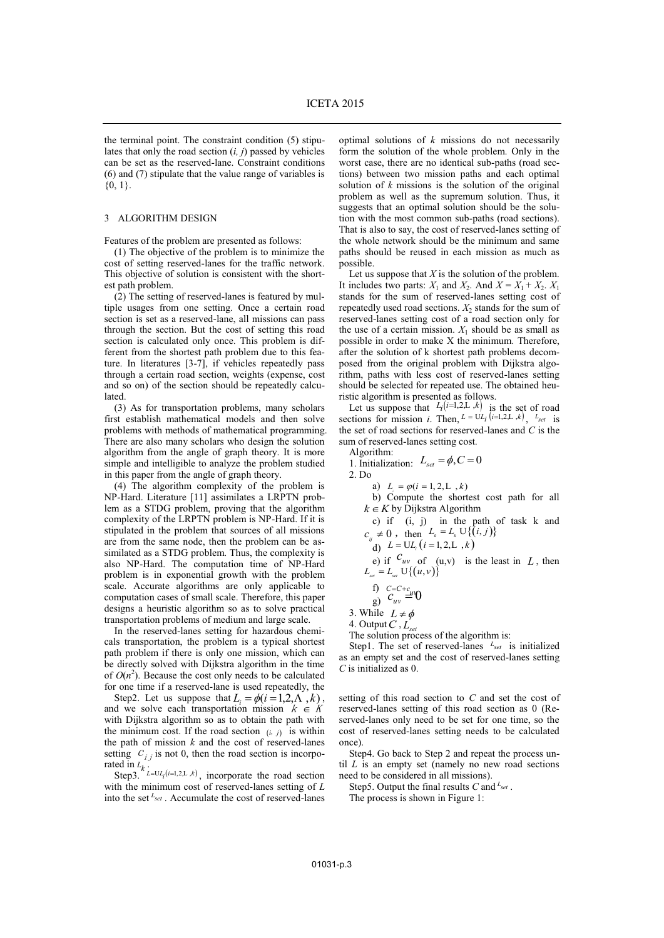the terminal point. The constraint condition (5) stipulates that only the road section (*i, j*) passed by vehicles can be set as the reserved-lane. Constraint conditions (6) and (7) stipulate that the value range of variables is  ${0, 1}$ .

#### 3 ALGORITHM DESIGN

Features of the problem are presented as follows:

(1) The objective of the problem is to minimize the cost of setting reserved-lanes for the traffic network. This objective of solution is consistent with the shortest path problem.

(2) The setting of reserved-lanes is featured by multiple usages from one setting. Once a certain road section is set as a reserved-lane, all missions can pass through the section. But the cost of setting this road section is calculated only once. This problem is different from the shortest path problem due to this feature. In literatures [3-7], if vehicles repeatedly pass through a certain road section, weights (expense, cost and so on) of the section should be repeatedly calculated.

(3) As for transportation problems, many scholars first establish mathematical models and then solve problems with methods of mathematical programming. There are also many scholars who design the solution algorithm from the angle of graph theory. It is more simple and intelligible to analyze the problem studied in this paper from the angle of graph theory.

(4) The algorithm complexity of the problem is NP-Hard. Literature [11] assimilates a LRPTN problem as a STDG problem, proving that the algorithm complexity of the LRPTN problem is NP-Hard. If it is stipulated in the problem that sources of all missions are from the same node, then the problem can be assimilated as a STDG problem. Thus, the complexity is also NP-Hard. The computation time of NP-Hard problem is in exponential growth with the problem scale. Accurate algorithms are only applicable to computation cases of small scale. Therefore, this paper designs a heuristic algorithm so as to solve practical transportation problems of medium and large scale.

In the reserved-lanes setting for hazardous chemicals transportation, the problem is a typical shortest path problem if there is only one mission, which can be directly solved with Dijkstra algorithm in the time of  $O(n^2)$ . Because the cost only needs to be calculated for one time if a reserved-lane is used repeatedly, the

Step2. Let us suppose that  $L_i = \phi(i = 1, 2, \Lambda, k)$ , and we solve each transportation mission  $k \in K$ with Dijkstra algorithm so as to obtain the path with the minimum cost. If the road section  $(i, j)$  is within the path of mission  $k$  and the cost of reserved-lanes setting  $C_{i,j}$  is not 0, then the road section is incorpo-

rated in  $L_k$ .<br>Step3.  $L = \cup L_i(i=1,2, L, k)$ , incorporate the road section with the minimum cost of reserved-lanes setting of *L* into the set *Lset* . Accumulate the cost of reserved-lanes

optimal solutions of *k* missions do not necessarily form the solution of the whole problem. Only in the worst case, there are no identical sub-paths (road sections) between two mission paths and each optimal solution of *k* missions is the solution of the original problem as well as the supremum solution. Thus, it suggests that an optimal solution should be the solution with the most common sub-paths (road sections). That is also to say, the cost of reserved-lanes setting of the whole network should be the minimum and same paths should be reused in each mission as much as possible.

Let us suppose that  $X$  is the solution of the problem. It includes two parts:  $X_1$  and  $X_2$ . And  $X = X_1 + X_2$ .  $X_1$ stands for the sum of reserved-lanes setting cost of repeatedly used road sections.  $X_2$  stands for the sum of reserved-lanes setting cost of a road section only for the use of a certain mission.  $X_1$  should be as small as possible in order to make X the minimum. Therefore, after the solution of k shortest path problems decomposed from the original problem with Dijkstra algorithm, paths with less cost of reserved-lanes setting should be selected for repeated use. The obtained heu-

ristic algorithm is presented as follows.<br>Let us suppose that  $L_i(i=1,2,L,k)$  is the set of road sections for mission *i*. Then,  $L = UL_i(i=1,2, L, k)$ ,  $L_{set}$  is the set of road sections for reserved-lanes and *C* is the sum of reserved-lanes setting cost.

Algorithm: 1. Initialization:  $L_{set} = \phi, C = 0$ 2. Do

a)  $L_i = \varphi(i = 1, 2, L, k)$ b) Compute the shortest cost path for all  $k \in K$  by Dijkstra Algorithm

c) if (i, j) in the path of task k and  

$$
c_y \neq 0
$$
, then  $L_k = L_k \cup \{(i, j)\}$ 

d)  $L = UL_i (i = 1, 2, L, k)$ 

e) if  $\frac{C_{uv}}{L_{set}}$  of (u,v) is the least in *L*, then

f) 
$$
C=C+c_{\mu\nu\rho}
$$

f)  $c = c + c$ <br>g)  $c_{uv} = 0$ 

3. While  $L \neq \phi$ 

4. Output*C* , *Lset*

The solution process of the algorithm is:

Step1. The set of reserved-lanes <sup>L<sub>set</sub></sup> is initialized as an empty set and the cost of reserved-lanes setting *C* is initialized as 0.

setting of this road section to *C* and set the cost of reserved-lanes setting of this road section as 0 (Reserved-lanes only need to be set for one time, so the cost of reserved-lanes setting needs to be calculated once).

Step4. Go back to Step 2 and repeat the process until *L* is an empty set (namely no new road sections need to be considered in all missions).

Step5. Output the final results *C* and *Lset* .

The process is shown in Figure 1: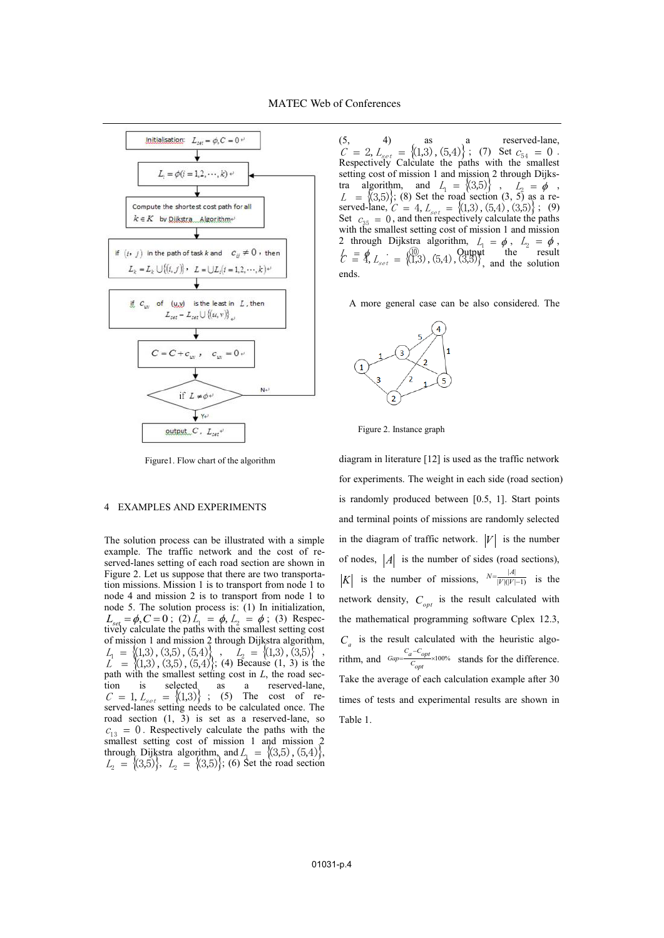

Figure1. Flow chart of the algorithm

## 4 EXAMPLES AND EXPERIMENTS

The solution process can be illustrated with a simple example. The traffic network and the cost of reserved-lanes setting of each road section are shown in Figure 2. Let us suppose that there are two transportation missions. Mission 1 is to transport from node 1 to node 4 and mission 2 is to transport from node 1 to node 5. The solution process is: (1) In initialization,  $L_{set} = \phi$ ,  $C = 0$ ; (2)  $L_1 = \phi$ ,  $L_2 = \phi$ ; (3) Respectively calculate the paths with the smallest setting cost of mission 1 and mission 2 through Dijkstra algorithm,  $L_1 = \{(1,3), (3,5), (5,4)\}$ ,  $L_2 = \{(1,3), (3,5)\}$ ,  $L = \{(1,3), (3,5), (5,4)\}$ ; (4) Because (1, 3) is the path with the smallest setting cost in *L*, the road section is selected as a reserved-lane,  $C = 1, L_{set} = \{(1,3)\}$ ; (5) The cost of reserved-lanes setting needs to be calculated once. The road section (1, 3) is set as a reserved-lane, so  $c_{13} = 0$ . Respectively calculate the paths with the smallest setting cost of mission 1 and mission 2 through Dijkstra algorithm, and  $L_1 = \{(3,5), (5,4)\},\$  $L_2 = \{(3,5)\}\,$ ,  $L_2 = \{(3,5)\}\,$ ; (6) Set the road section

 $(5, 4)$  as a reserved-lane,  $C = 2, L_{set} = \{(1,3), (5,4)\}$ ; (7) Set  $c_{54} = 0$ .<br>Respectively Calculate the paths with the smallest setting cost of mission 1 and mission 2 through Dijkstra algorithm, and  $L_1 = \{(3,5)\}$ ,  $L_2 = \phi$ ,<br>  $L = \{(3,5)\}$ ; (8) Set the road section (3, 5) as a reserved-lane,  $C = 4$ ,  $L_{set} = \{(1,3), (5,4), (3,5)\}$ ; (9) Set  $c_{35} = 0$ , and then respectively calculate the paths with the smallest setting cost of mission 1 and mission 2 through Dijkstra algorithm,  $L_1 = \phi$ ,  $L_2 = \phi$ ,  $\psi \equiv \oint_C \vec{E} = \begin{pmatrix} 0 & 0 & 0 \\ 0 & 0 & 0 \\ 0 & 0 & 0 \end{pmatrix}$ ,  $\phi$ ,  $\psi$  and the solution  $\vec{E} = \oint_C \vec{E}$ . ends.

A more general case can be also considered. The



Figure 2. Instance graph

diagram in literature [12] is used as the traffic network for experiments. The weight in each side (road section) is randomly produced between [0.5, 1]. Start points and terminal points of missions are randomly selected in the diagram of traffic network.  $|V|$  is the number of nodes,  $|A|$  is the number of sides (road sections), *K* is the number of missions,  $N = \frac{|A|}{|V|(|V|-1)}$  is the network density,  $C_{opt}$  is the result calculated with the mathematical programming software Cplex 12.3,  $C_a$  is the result calculated with the heuristic algorithm, and  $\frac{G_{ap} - G_{opt}}{C_{opt}} \times 100\%$  stands for the difference. Take the average of each calculation example after 30 times of tests and experimental results are shown in Table 1.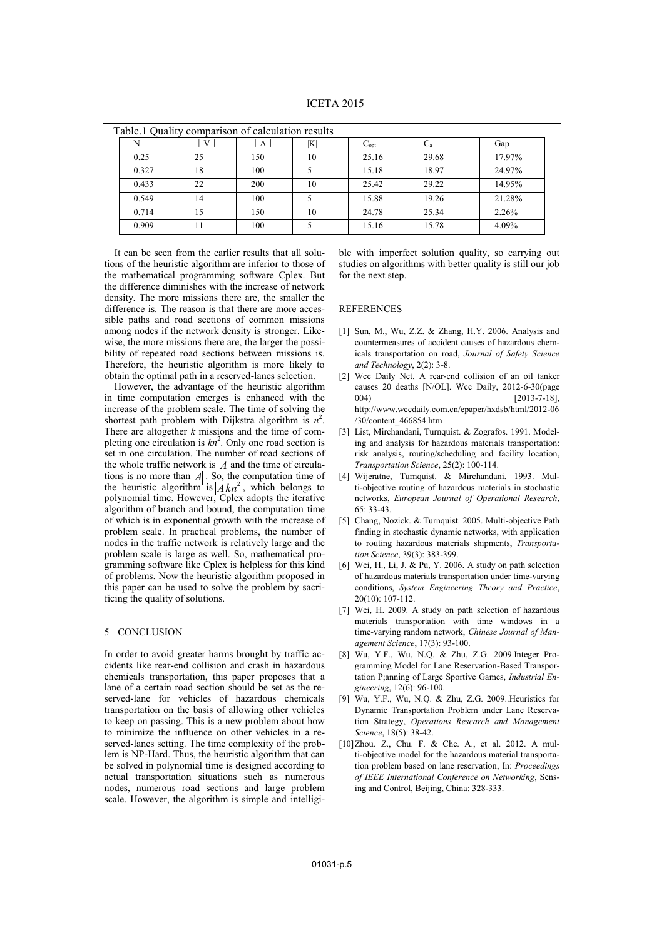| Table.1 Quality comparison of calculation results |    |     |    |                             |            |        |
|---------------------------------------------------|----|-----|----|-----------------------------|------------|--------|
|                                                   | V  | A   | K  | $\mathrm{C}_{\mathrm{opt}}$ | $\rm{C_a}$ | Gap    |
| 0.25                                              | 25 | 150 | 10 | 25.16                       | 29.68      | 17.97% |
| 0.327                                             | 18 | 100 |    | 15.18                       | 18.97      | 24.97% |
| 0.433                                             | 22 | 200 | 10 | 25.42                       | 29.22      | 14.95% |
| 0.549                                             | 14 | 100 |    | 15.88                       | 19.26      | 21.28% |
| 0.714                                             | 15 | 150 | 10 | 24.78                       | 25.34      | 2.26%  |
| 0.909                                             | 11 | 100 |    | 15.16                       | 15.78      | 4.09%  |

It can be seen from the earlier results that all solutions of the heuristic algorithm are inferior to those of the mathematical programming software Cplex. But the difference diminishes with the increase of network density. The more missions there are, the smaller the difference is. The reason is that there are more accessible paths and road sections of common missions among nodes if the network density is stronger. Likewise, the more missions there are, the larger the possibility of repeated road sections between missions is. Therefore, the heuristic algorithm is more likely to obtain the optimal path in a reserved-lanes selection.

However, the advantage of the heuristic algorithm in time computation emerges is enhanced with the increase of the problem scale. The time of solving the shortest path problem with Dijkstra algorithm is  $n^2$ . There are altogether *k* missions and the time of completing one circulation is  $kn^2$ . Only one road section is set in one circulation. The number of road sections of the whole traffic network is  $|A|$  and the time of circulations is no more than  $|A|$ . So, the computation time of the heuristic algorithm is  $A/kn^2$ , which belongs to polynomial time. However, Cplex adopts the iterative algorithm of branch and bound, the computation time of which is in exponential growth with the increase of problem scale. In practical problems, the number of nodes in the traffic network is relatively large and the problem scale is large as well. So, mathematical programming software like Cplex is helpless for this kind of problems. Now the heuristic algorithm proposed in this paper can be used to solve the problem by sacrificing the quality of solutions.

### 5 CONCLUSION

In order to avoid greater harms brought by traffic accidents like rear-end collision and crash in hazardous chemicals transportation, this paper proposes that a lane of a certain road section should be set as the reserved-lane for vehicles of hazardous chemicals transportation on the basis of allowing other vehicles to keep on passing. This is a new problem about how to minimize the influence on other vehicles in a reserved-lanes setting. The time complexity of the problem is NP-Hard. Thus, the heuristic algorithm that can be solved in polynomial time is designed according to actual transportation situations such as numerous nodes, numerous road sections and large problem scale. However, the algorithm is simple and intelligible with imperfect solution quality, so carrying out studies on algorithms with better quality is still our job for the next step.

### REFERENCES

- [1] Sun, M., Wu, Z.Z. & Zhang, H.Y. 2006. Analysis and countermeasures of accident causes of hazardous chemicals transportation on road, *Journal of Safety Science and Technology*, 2(2): 3-8.
- [2] Wcc Daily Net. A rear-end collision of an oil tanker causes 20 deaths [N/OL]. Wcc Daily, 2012-6-30(page 004) [2013-7-18], http://www.wccdaily.com.cn/epaper/hxdsb/html/2012-06 /30/content\_466854.htm
- [3] List, Mirchandani, Turnquist. & Zografos. 1991. Modeling and analysis for hazardous materials transportation: risk analysis, routing/scheduling and facility location, *Transportation Science*, 25(2): 100-114.
- [4] Wijeratne, Turnquist. & Mirchandani. 1993. Multi-objective routing of hazardous materials in stochastic networks, *European Journal of Operational Research*, 65: 33-43.
- [5] Chang, Nozick. & Turnquist. 2005. Multi-objective Path finding in stochastic dynamic networks, with application to routing hazardous materials shipments, *Transportation Science*, 39(3): 383-399.
- [6] Wei, H., Li, J. & Pu, Y. 2006. A study on path selection of hazardous materials transportation under time-varying conditions, *System Engineering Theory and Practice*,  $20(10)$ : 107-112.
- [7] Wei, H. 2009. A study on path selection of hazardous materials transportation with time windows in a time-varying random network, *Chinese Journal of Management Science*, 17(3): 93-100.
- [8] Wu, Y.F., Wu, N.Q. & Zhu, Z.G. 2009.Integer Programming Model for Lane Reservation-Based Transportation P;anning of Large Sportive Games, *Industrial Engineering*, 12(6): 96-100.
- [9] Wu, Y.F., Wu, N.Q. & Zhu, Z.G. 2009..Heuristics for Dynamic Transportation Problem under Lane Reservation Strategy, *Operations Research and Management Science*, 18(5): 38-42.
- [10]Zhou. Z., Chu. F. & Che. A., et al. 2012. A multi-objective model for the hazardous material transportation problem based on lane reservation, In: *Proceedings of IEEE International Conference on Networking*, Sensing and Control, Beijing, China: 328-333.